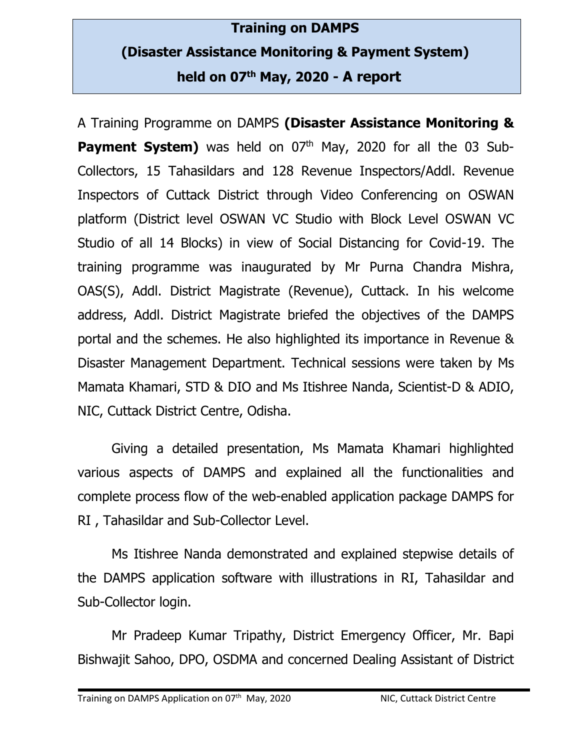## **Training on DAMPS (Disaster Assistance Monitoring & Payment System) held on 07th May, 2020 - A report**

A Training Programme on DAMPS **(Disaster Assistance Monitoring & Payment System)** was held on 07<sup>th</sup> May, 2020 for all the 03 Sub-Collectors, 15 Tahasildars and 128 Revenue Inspectors/Addl. Revenue Inspectors of Cuttack District through Video Conferencing on OSWAN platform (District level OSWAN VC Studio with Block Level OSWAN VC Studio of all 14 Blocks) in view of Social Distancing for Covid-19. The training programme was inaugurated by Mr Purna Chandra Mishra, OAS(S), Addl. District Magistrate (Revenue), Cuttack. In his welcome address, Addl. District Magistrate briefed the objectives of the DAMPS portal and the schemes. He also highlighted its importance in Revenue & Disaster Management Department. Technical sessions were taken by Ms Mamata Khamari, STD & DIO and Ms Itishree Nanda, Scientist-D & ADIO, NIC, Cuttack District Centre, Odisha.

Giving a detailed presentation, Ms Mamata Khamari highlighted various aspects of DAMPS and explained all the functionalities and complete process flow of the web-enabled application package DAMPS for RI , Tahasildar and Sub-Collector Level.

Ms Itishree Nanda demonstrated and explained stepwise details of the DAMPS application software with illustrations in RI, Tahasildar and Sub-Collector login.

Mr Pradeep Kumar Tripathy, District Emergency Officer, Mr. Bapi Bishwajit Sahoo, DPO, OSDMA and concerned Dealing Assistant of District